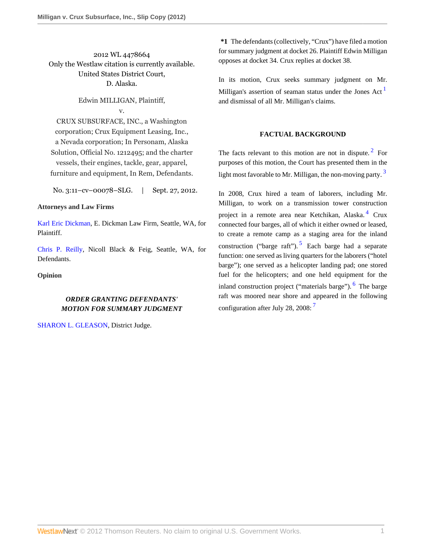2012 WL 4478664 Only the Westlaw citation is currently available. United States District Court, D. Alaska.

# Edwin MILLIGAN, Plaintiff, v.

CRUX SUBSURFACE, INC., a Washington corporation; Crux Equipment Leasing, Inc., a Nevada corporation; In Personam, Alaska Solution, Official No. 1212495; and the charter vessels, their engines, tackle, gear, apparel, furniture and equipment, In Rem, Defendants.

No. 3:11–cv–00078–SLG. | Sept. 27, 2012.

### **Attorneys and Law Firms**

[Karl Eric Dickman](http://www.westlaw.com/Link/Document/FullText?findType=h&pubNum=176284&cite=0190531901&originatingDoc=Ica6e01710bd611e2b60bb297d3d07bc5&refType=RQ&originationContext=document&vr=3.0&rs=cblt1.0&transitionType=DocumentItem&contextData=(sc.UserEnteredCitation)), E. Dickman Law Firm, Seattle, WA, for Plaintiff.

[Chris P. Reilly](http://www.westlaw.com/Link/Document/FullText?findType=h&pubNum=176284&cite=0402099001&originatingDoc=Ica6e01710bd611e2b60bb297d3d07bc5&refType=RQ&originationContext=document&vr=3.0&rs=cblt1.0&transitionType=DocumentItem&contextData=(sc.UserEnteredCitation)), Nicoll Black & Feig, Seattle, WA, for Defendants.

**Opinion**

# *ORDER GRANTING DEFENDANTS' MOTION FOR SUMMARY JUDGMENT*

[SHARON L. GLEASON](http://www.westlaw.com/Link/Document/FullText?findType=h&pubNum=176284&cite=0285811601&originatingDoc=Ica6e01710bd611e2b60bb297d3d07bc5&refType=RQ&originationContext=document&vr=3.0&rs=cblt1.0&transitionType=DocumentItem&contextData=(sc.UserEnteredCitation)), District Judge.

**\*1** The defendants (collectively, "Crux") have filed a motion for summary judgment at docket 26. Plaintiff Edwin Milligan opposes at docket 34. Crux replies at docket 38.

In its motion, Crux seeks summary judgment on Mr. Milligan's assertion of seaman status under the Jones Act  $<sup>1</sup>$  $<sup>1</sup>$  $<sup>1</sup>$ </sup> and dismissal of all Mr. Milligan's claims.

## <span id="page-0-3"></span><span id="page-0-2"></span><span id="page-0-1"></span><span id="page-0-0"></span>**FACTUAL BACKGROUND**

The facts relevant to this motion are not in dispute.<sup>[2](#page-4-1)</sup> For purposes of this motion, the Court has presented them in the light most favorable to Mr. Milligan, the non-moving party.  $3$ 

<span id="page-0-6"></span><span id="page-0-5"></span><span id="page-0-4"></span>In 2008, Crux hired a team of laborers, including Mr. Milligan, to work on a transmission tower construction project in a remote area near Ketchikan, Alaska.<sup>[4](#page-4-3)</sup> Crux connected four barges, all of which it either owned or leased, to create a remote camp as a staging area for the inland construction ("barge raft").<sup>[5](#page-4-4)</sup> Each barge had a separate function: one served as living quarters for the laborers ("hotel barge"); one served as a helicopter landing pad; one stored fuel for the helicopters; and one held equipment for the inland construction project ("materials barge"). <sup>[6](#page-4-5)</sup> The barge raft was moored near shore and appeared in the following configuration after July 28, 2008:<sup>[7](#page-4-6)</sup>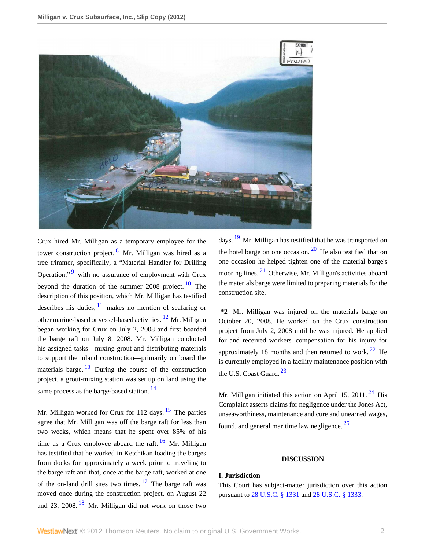

<span id="page-1-3"></span><span id="page-1-1"></span><span id="page-1-0"></span>Crux hired Mr. Milligan as a temporary employee for the tower construction project. <sup>[8](#page-4-7)</sup> Mr. Milligan was hired as a tree trimmer, specifically, a "Material Handler for Drilling Operation,"<sup>[9](#page-4-8)</sup> with no assurance of employment with Crux beyond the duration of the summer 2008 project.  $10$  The description of this position, which Mr. Milligan has testified describes his duties,  $\frac{11}{1}$  $\frac{11}{1}$  $\frac{11}{1}$  makes no mention of seafaring or other marine-based or vessel-based activities. [12](#page-4-11) Mr. Milligan began working for Crux on July 2, 2008 and first boarded the barge raft on July 8, 2008. Mr. Milligan conducted his assigned tasks—mixing grout and distributing materials to support the inland construction—primarily on board the materials barge.  $\frac{13}{2}$  $\frac{13}{2}$  $\frac{13}{2}$  During the course of the construction project, a grout-mixing station was set up on land using the same process as the barge-based station.<sup>[14](#page-4-13)</sup>

<span id="page-1-10"></span><span id="page-1-5"></span>Mr. Milligan worked for Crux for 112 days.  $15$  The parties agree that Mr. Milligan was off the barge raft for less than two weeks, which means that he spent over 85% of his time as a Crux employee aboard the raft.  $16$  Mr. Milligan has testified that he worked in Ketchikan loading the barges from docks for approximately a week prior to traveling to the barge raft and that, once at the barge raft, worked at one of the on-land drill sites two times.  $17$  The barge raft was moved once during the construction project, on August 22 and 23, 2008.  $18$  Mr. Milligan did not work on those two

<span id="page-1-13"></span><span id="page-1-12"></span><span id="page-1-11"></span>days. <sup>[19](#page-5-1)</sup> Mr. Milligan has testified that he was transported on the hotel barge on one occasion.  $20$  He also testified that on one occasion he helped tighten one of the material barge's mooring lines.<sup>[21](#page-5-3)</sup> Otherwise, Mr. Milligan's activities aboard the materials barge were limited to preparing materials for the construction site.

<span id="page-1-4"></span><span id="page-1-2"></span>**\*2** Mr. Milligan was injured on the materials barge on October 20, 2008. He worked on the Crux construction project from July 2, 2008 until he was injured. He applied for and received workers' compensation for his injury for approximately 18 months and then returned to work.  $22$  He is currently employed in a facility maintenance position with the U.S. Coast Guard.<sup>[23](#page-5-5)</sup>

<span id="page-1-15"></span><span id="page-1-7"></span><span id="page-1-6"></span>Mr. Milligan initiated this action on April 15, 2011.  $24$  His Complaint asserts claims for negligence under the Jones Act, unseaworthiness, maintenance and cure and unearned wages, found, and general maritime law negligence.  $25$ 

#### <span id="page-1-17"></span><span id="page-1-16"></span><span id="page-1-14"></span>**DISCUSSION**

## <span id="page-1-8"></span>**I. Jurisdiction**

<span id="page-1-9"></span>This Court has subject-matter jurisdiction over this action pursuant to [28 U.S.C. § 1331](http://www.westlaw.com/Link/Document/FullText?findType=L&pubNum=1000546&cite=28USCAS1331&originatingDoc=Ica6e01710bd611e2b60bb297d3d07bc5&refType=LQ&originationContext=document&vr=3.0&rs=cblt1.0&transitionType=DocumentItem&contextData=(sc.UserEnteredCitation)) and [28 U.S.C. § 1333.](http://www.westlaw.com/Link/Document/FullText?findType=L&pubNum=1000546&cite=28USCAS1333&originatingDoc=Ica6e01710bd611e2b60bb297d3d07bc5&refType=LQ&originationContext=document&vr=3.0&rs=cblt1.0&transitionType=DocumentItem&contextData=(sc.UserEnteredCitation))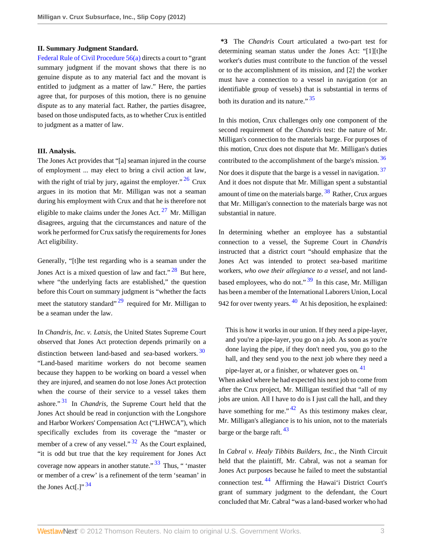### **II. Summary Judgment Standard.**

[Federal Rule of Civil Procedure 56\(a\)](http://www.westlaw.com/Link/Document/FullText?findType=L&pubNum=1004365&cite=USFRCPR56&originatingDoc=Ica6e01710bd611e2b60bb297d3d07bc5&refType=LQ&originationContext=document&vr=3.0&rs=cblt1.0&transitionType=DocumentItem&contextData=(sc.UserEnteredCitation)) directs a court to "grant summary judgment if the movant shows that there is no genuine dispute as to any material fact and the movant is entitled to judgment as a matter of law." Here, the parties agree that, for purposes of this motion, there is no genuine dispute as to any material fact. Rather, the parties disagree, based on those undisputed facts, as to whether Crux is entitled to judgment as a matter of law.

#### **III. Analysis.**

The Jones Act provides that "[a] seaman injured in the course of employment ... may elect to bring a civil action at law, with the right of trial by jury, against the employer."  $^{26}$  $^{26}$  $^{26}$  Crux argues in its motion that Mr. Milligan was not a seaman during his employment with Crux and that he is therefore not eligible to make claims under the Jones Act.  $27$  Mr. Milligan disagrees, arguing that the circumstances and nature of the work he performed for Crux satisfy the requirements for Jones Act eligibility.

Generally, "[t]he test regarding who is a seaman under the Jones Act is a mixed question of law and fact."<sup>[28](#page-5-10)</sup> But here, where "the underlying facts are established," the question before this Court on summary judgment is "whether the facts meet the statutory standard"  $^{29}$  $^{29}$  $^{29}$  required for Mr. Milligan to be a seaman under the law.

<span id="page-2-5"></span><span id="page-2-3"></span>In *Chandris, Inc. v. Latsis,* the United States Supreme Court observed that Jones Act protection depends primarily on a distinction between land-based and sea-based workers.<sup>[30](#page-5-12)</sup> "Land-based maritime workers do not become seamen because they happen to be working on board a vessel when they are injured, and seamen do not lose Jones Act protection when the course of their service to a vessel takes them ashore." [31](#page-5-13) In *Chandris,* the Supreme Court held that the Jones Act should be read in conjunction with the Longshore and Harbor Workers' Compensation Act ("LHWCA"), which specifically excludes from its coverage the "master or member of a crew of any vessel."  $32$  As the Court explained, "it is odd but true that the key requirement for Jones Act coverage now appears in another statute."  $33$  Thus, " 'master or member of a crew' is a refinement of the term 'seaman' in the Jones Act[.]"  $34$ 

**\*3** The *Chandris* Court articulated a two-part test for determining seaman status under the Jones Act: "[1][t]he worker's duties must contribute to the function of the vessel or to the accomplishment of its mission, and [2] the worker must have a connection to a vessel in navigation (or an identifiable group of vessels) that is substantial in terms of both its duration and its nature." [35](#page-5-17)

<span id="page-2-11"></span><span id="page-2-10"></span><span id="page-2-9"></span>In this motion, Crux challenges only one component of the second requirement of the *Chandris* test: the nature of Mr. Milligan's connection to the materials barge. For purposes of this motion, Crux does not dispute that Mr. Milligan's duties contributed to the accomplishment of the barge's mission.<sup>[36](#page-5-18)</sup> Nor does it dispute that the barge is a vessel in navigation.<sup>[37](#page-5-19)</sup> And it does not dispute that Mr. Milligan spent a substantial amount of time on the materials barge. <sup>[38](#page-5-20)</sup> Rather, Crux argues that Mr. Milligan's connection to the materials barge was not substantial in nature.

<span id="page-2-12"></span><span id="page-2-2"></span><span id="page-2-1"></span><span id="page-2-0"></span>In determining whether an employee has a substantial connection to a vessel, the Supreme Court in *Chandris* instructed that a district court "should emphasize that the Jones Act was intended to protect sea-based maritime workers, *who owe their allegiance to a vessel,* and not landbased employees, who do not." $39$  In this case, Mr. Milligan has been a member of the International Laborers Union, Local 942 for over twenty years.  $\frac{40}{40}$  $\frac{40}{40}$  $\frac{40}{40}$  At his deposition, he explained:

<span id="page-2-15"></span><span id="page-2-14"></span><span id="page-2-13"></span>This is how it works in our union. If they need a pipe-layer, and you're a pipe-layer, you go on a job. As soon as you're done laying the pipe, if they don't need you, you go to the hall, and they send you to the next job where they need a

<span id="page-2-16"></span><span id="page-2-4"></span>pipe-layer at, or a finisher, or whatever goes on. [41](#page-5-23) When asked where he had expected his next job to come from after the Crux project, Mr. Milligan testified that "all of my jobs are union. All I have to do is I just call the hall, and they have something for me."  $42$  As this testimony makes clear. Mr. Milligan's allegiance is to his union, not to the materials barge or the barge raft.  $43$ 

<span id="page-2-18"></span><span id="page-2-17"></span><span id="page-2-8"></span><span id="page-2-7"></span><span id="page-2-6"></span>In *Cabral v. Healy Tibbits Builders, Inc.,* the Ninth Circuit held that the plaintiff, Mr. Cabral, was not a seaman for Jones Act purposes because he failed to meet the substantial connection test. [44](#page-5-26) Affirming the Hawai'i District Court's grant of summary judgment to the defendant, the Court concluded that Mr. Cabral "was a land-based worker who had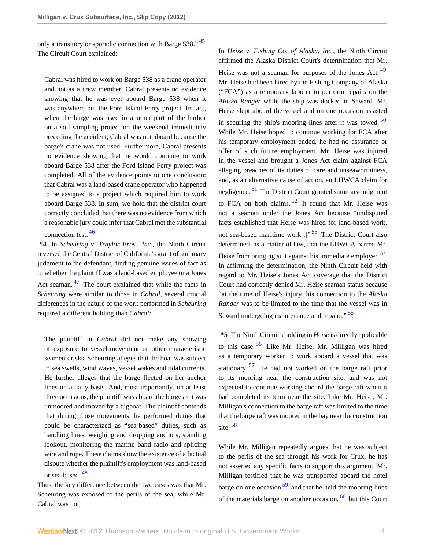only a transitory or sporadic connection with Barge 538." <sup>[45](#page-5-27)</sup> The Circuit Court explained:

Cabral was hired to work on Barge 538 as a crane operator and not as a crew member. Cabral presents no evidence showing that he was ever aboard Barge 538 when it was anywhere but the Ford Island Ferry project. In fact, when the barge was used in another part of the harbor on a soil sampling project on the weekend immediately preceding the accident, Cabral was not aboard because the barge's crane was not used. Furthermore, Cabral presents no evidence showing that he would continue to work aboard Barge 538 after the Ford Island Ferry project was completed. All of the evidence points to one conclusion: that Cabral was a land-based crane operator who happened to be assigned to a project which required him to work aboard Barge 538. In sum, we hold that the district court correctly concluded that there was no evidence from which a reasonable jury could infer that Cabral met the substantial connection test. [46](#page-5-28)

<span id="page-3-2"></span><span id="page-3-1"></span>**\*4** In *Scheuring v. Traylor Bros., Inc.,* the Ninth Circuit reversed the Central District of California's grant of summary judgment to the defendant, finding genuine issues of fact as to whether the plaintiff was a land-based employee or a Jones Act seaman. <sup>[47](#page-5-29)</sup> The court explained that while the facts in *Scheuring* were similar to those in *Cabral,* several crucial differences in the nature of the work performed in *Scheuring* required a different holding than *Cabral:*

The plaintiff in *Cabral* did not make any showing of exposure to vessel-movement or other characteristic seamen's risks. Scheuring alleges that the boat was subject to sea swells, wind waves, vessel wakes and tidal currents. He further alleges that the barge fleeted on her anchor lines on a daily basis. And, most importantly, on at least three occasions, the plaintiff was aboard the barge as it was unmoored and moved by a tugboat. The plaintiff contends that during those movements, he performed duties that could be characterized as "sea-based" duties, such as handling lines, weighing and dropping anchors, standing lookout, monitoring the marine band radio and splicing wire and rope. These claims show the existence of a factual dispute whether the plaintiff's employment was land-based or sea-based. [48](#page-5-30)

<span id="page-3-3"></span>Thus, the key difference between the two cases was that Mr. Scheuring was exposed to the perils of the sea, while Mr. Cabral was not.

<span id="page-3-6"></span><span id="page-3-5"></span><span id="page-3-4"></span><span id="page-3-0"></span>In *Heise v. Fishing Co. of Alaska, Inc.,* the Ninth Circuit affirmed the Alaska District Court's determination that Mr. Heise was not a seaman for purposes of the Jones Act.<sup>[49](#page-5-31)</sup> Mr. Heise had been hired by the Fishing Company of Alaska ("FCA") as a temporary laborer to perform repairs on the *Alaska Ranger* while the ship was docked in Seward. Mr. Heise slept aboard the vessel and on one occasion assisted in securing the ship's mooring lines after it was towed.  $50$ While Mr. Heise hoped to continue working for FCA after his temporary employment ended, he had no assurance or offer of such future employment. Mr. Heise was injured in the vessel and brought a Jones Act claim against FCA alleging breaches of its duties of care and unseaworthiness, and, as an alternative cause of action, an LHWCA claim for negligence.<sup>[51](#page-5-33)</sup> The District Court granted summary judgment to FCA on both claims.  $52$  It found that Mr. Heise was not a seaman under the Jones Act because "undisputed facts established that Heise was hired for land-based work, not sea-based maritime work<sup>[1]</sup><sup>, [53](#page-5-35)</sup> The District Court also determined, as a matter of law, that the LHWCA barred Mr. Heise from bringing suit against his immediate employer.<sup>[54](#page-5-36)</sup> In affirming the determination, the Ninth Circuit held with regard to Mr. Heise's Jones Act coverage that the District Court had correctly denied Mr. Heise seaman status because "at the time of Heise's injury, his connection to the *Alaska Ranger* was to be limited to the time that the vessel was in Seward undergoing maintenance and repairs."<sup>[55](#page-5-37)</sup>

<span id="page-3-12"></span><span id="page-3-11"></span><span id="page-3-10"></span><span id="page-3-9"></span><span id="page-3-8"></span><span id="page-3-7"></span>**\*5** The Ninth Circuit's holding in *Heise* is directly applicable to this case. [56](#page-6-0) Like Mr. Heise, Mr. Milligan was hired as a temporary worker to work aboard a vessel that was stationary. [57](#page-6-1) He had not worked on the barge raft prior to its mooring near the construction site, and was not expected to continue working aboard the barge raft when it had completed its term near the site. Like Mr. Heise, Mr. Milligan's connection to the barge raft was limited to the time that the barge raft was moored in the bay near the construction site. [58](#page-6-2)

<span id="page-3-15"></span><span id="page-3-14"></span><span id="page-3-13"></span>While Mr. Milligan repeatedly argues that he was subject to the perils of the sea through his work for Crux, he has not asserted any specific facts to support this argument. Mr. Milligan testified that he was transported aboard the hotel barge on one occasion  $59$  and that he held the mooring lines of the materials barge on another occasion,  $60$  but this Court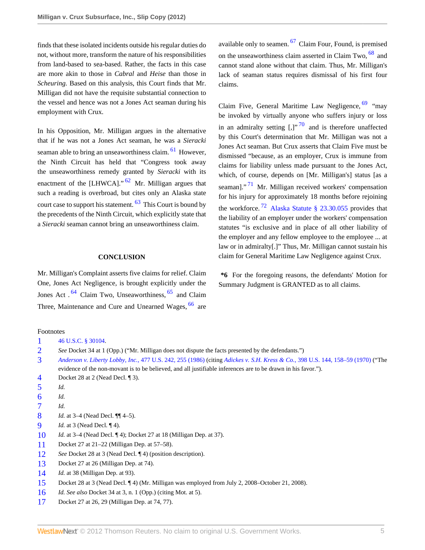finds that these isolated incidents outside his regular duties do not, without more, transform the nature of his responsibilities from land-based to sea-based. Rather, the facts in this case are more akin to those in *Cabral* and *Heise* than those in *Scheuring.* Based on this analysis, this Court finds that Mr. Milligan did not have the requisite substantial connection to the vessel and hence was not a Jones Act seaman during his employment with Crux.

In his Opposition, Mr. Milligan argues in the alternative that if he was not a Jones Act seaman, he was a *Sieracki* seaman able to bring an unseaworthiness claim.<sup>[61](#page-6-5)</sup> However, the Ninth Circuit has held that "Congress took away the unseaworthiness remedy granted by *Sieracki* with its enactment of the [LHWCA]."  $62$  Mr. Milligan argues that such a reading is overbroad, but cites only an Alaska state court case to support his statement. <sup>[63](#page-6-7)</sup> This Court is bound by the precedents of the Ninth Circuit, which explicitly state that a *Sieracki* seaman cannot bring an unseaworthiness claim.

#### <span id="page-4-19"></span><span id="page-4-18"></span>**CONCLUSION**

<span id="page-4-20"></span>Mr. Milligan's Complaint asserts five claims for relief. Claim One, Jones Act Negligence, is brought explicitly under the Jones Act.<sup>[64](#page-6-8)</sup> Claim Two, Unseaworthiness,<sup>[65](#page-6-9)</sup> and Claim Three, Maintenance and Cure and Unearned Wages, <sup>[66](#page-6-10)</sup> are <span id="page-4-24"></span><span id="page-4-23"></span>available only to seamen.  $67$  Claim Four, Found, is premised on the unseaworthiness claim asserted in Claim Two, <sup>[68](#page-6-12)</sup> and cannot stand alone without that claim. Thus, Mr. Milligan's lack of seaman status requires dismissal of his first four claims.

<span id="page-4-27"></span><span id="page-4-26"></span><span id="page-4-25"></span><span id="page-4-17"></span>Claim Five, General Maritime Law Negligence,  $69$  "may" be invoked by virtually anyone who suffers injury or loss in an admiralty setting  $\left[ . \right]$ <sup>"[70](#page-6-14)</sup> and is therefore unaffected by this Court's determination that Mr. Milligan was not a Jones Act seaman. But Crux asserts that Claim Five must be dismissed "because, as an employer, Crux is immune from claims for liability unless made pursuant to the Jones Act, which, of course, depends on [Mr. Milligan's] status [as a seaman]." [71](#page-6-15) Mr. Milligan received workers' compensation for his injury for approximately 18 months before rejoining the workforce.<sup>[72](#page-6-16)</sup> [Alaska Statute § 23.30.055](http://www.westlaw.com/Link/Document/FullText?findType=L&pubNum=1000003&cite=AKSTS23.30.055&originatingDoc=Ica6e01710bd611e2b60bb297d3d07bc5&refType=LQ&originationContext=document&vr=3.0&rs=cblt1.0&transitionType=DocumentItem&contextData=(sc.UserEnteredCitation)) provides that the liability of an employer under the workers' compensation statutes "is exclusive and in place of all other liability of the employer and any fellow employee to the employee ... at law or in admiralty[.]" Thus, Mr. Milligan cannot sustain his claim for General Maritime Law Negligence against Crux.

<span id="page-4-28"></span><span id="page-4-22"></span><span id="page-4-21"></span>**\*6** For the foregoing reasons, the defendants' Motion for Summary Judgment is GRANTED as to all claims.

#### Footnotes

- <span id="page-4-0"></span>[1](#page-0-0) [46 U.S.C. § 30104](http://www.westlaw.com/Link/Document/FullText?findType=L&pubNum=1000546&cite=46USCAS30104&originatingDoc=Ica6e01710bd611e2b60bb297d3d07bc5&refType=LQ&originationContext=document&vr=3.0&rs=cblt1.0&transitionType=DocumentItem&contextData=(sc.UserEnteredCitation)).
- <span id="page-4-1"></span>[2](#page-0-1) *See* Docket 34 at 1 (Opp.) ("Mr. Milligan does not dispute the facts presented by the defendants.")
- <span id="page-4-2"></span>[3](#page-0-2) *[Anderson v. Liberty Lobby, Inc.,](http://www.westlaw.com/Link/Document/FullText?findType=Y&serNum=1986132674&pubNum=780&originationContext=document&vr=3.0&rs=cblt1.0&transitionType=DocumentItem&contextData=(sc.UserEnteredCitation)#co_pp_sp_780_255)* 477 U.S. 242, 255 (1986) (citing *Adickes v. S.H. Kress & Co.,* [398 U.S. 144, 158–59 \(1970\)](http://www.westlaw.com/Link/Document/FullText?findType=Y&serNum=1970134235&pubNum=780&originationContext=document&vr=3.0&rs=cblt1.0&transitionType=DocumentItem&contextData=(sc.UserEnteredCitation)#co_pp_sp_780_158) ("The evidence of the non-movant is to be believed, and all justifiable inferences are to be drawn in his favor.").
- <span id="page-4-3"></span>[4](#page-0-3) Docket 28 at 2 (Nead Decl. ¶ 3).
- <span id="page-4-4"></span>[5](#page-0-4) *Id.*
- <span id="page-4-5"></span>[6](#page-0-5) *Id.*
- <span id="page-4-6"></span>[7](#page-0-6) *Id.*
- <span id="page-4-7"></span>[8](#page-1-0) *Id.* at 3–4 (Nead Decl. ¶¶ 4–5).
- <span id="page-4-8"></span>[9](#page-1-1) *Id.* at 3 (Nead Decl. ¶ 4).
- <span id="page-4-9"></span>[10](#page-1-2) *Id.* at 3–4 (Nead Decl. ¶ 4); Docket 27 at 18 (Milligan Dep. at 37).
- <span id="page-4-10"></span>[11](#page-1-3) Docket 27 at 21–22 (Milligan Dep. at 57–58).
- <span id="page-4-11"></span>[12](#page-1-4) *See* Docket 28 at 3 (Nead Decl. ¶ 4) (position description).
- <span id="page-4-12"></span>[13](#page-1-5) Docket 27 at 26 (Milligan Dep. at 74).
- <span id="page-4-13"></span>[14](#page-1-6) *Id.* at 38 (Milligan Dep. at 93).
- <span id="page-4-14"></span>[15](#page-1-7) Docket 28 at 3 (Nead Decl. ¶ 4) (Mr. Milligan was employed from July 2, 2008–October 21, 2008).
- <span id="page-4-15"></span>[16](#page-1-8) *Id. See also* Docket 34 at 3, n. 1 (Opp.) (citing Mot. at 5).
- <span id="page-4-16"></span>[17](#page-1-9) Docket 27 at 26, 29 (Milligan Dep. at 74, 77).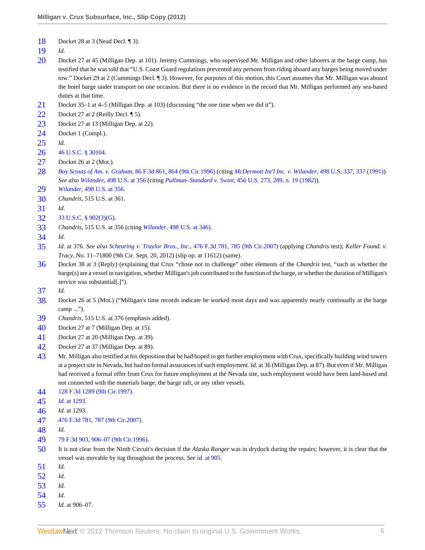- <span id="page-5-0"></span>Docket 28 at 3 (Nead Decl. 1 3).
- <span id="page-5-1"></span>*Id.*
- <span id="page-5-2"></span> Docket 27 at 45 (Milligan Dep. at 101). Jeremy Cummings, who supervised Mr. Milligan and other laborers at the barge camp, has testified that he was told that "U.S. Coast Guard regulations prevented any persons from riding aboard any barges being moved under tow." Docket 29 at 2 (Cummings Decl. ¶ 3). However, for purposes of this motion, this Court assumes that Mr. Milligan was aboard the hotel barge under transport on one occasion. But there is no evidence in the record that Mr. Milligan performed any sea-based duties at that time.
- <span id="page-5-3"></span>Docket 35–1 at 4–5 (Milligan Dep. at 103) (discussing "the one time when we did it").
- <span id="page-5-4"></span>Docket 27 at 2 (Reilly Decl. 15).
- <span id="page-5-5"></span>Docket 27 at 13 (Milligan Dep. at 22).
- <span id="page-5-6"></span>Docket 1 (Compl.).
- <span id="page-5-7"></span>*Id.*
- <span id="page-5-8"></span>[46 U.S.C. § 30104](http://www.westlaw.com/Link/Document/FullText?findType=L&pubNum=1000546&cite=46USCAS30104&originatingDoc=Ica6e01710bd611e2b60bb297d3d07bc5&refType=LQ&originationContext=document&vr=3.0&rs=cblt1.0&transitionType=DocumentItem&contextData=(sc.UserEnteredCitation)).
- <span id="page-5-9"></span>Docket 26 at 2 (Mot.).
- <span id="page-5-10"></span> *Boy Scouts of Am. v. Graham,* [86 F.3d 861, 864 \(9th Cir.1996\)](http://www.westlaw.com/Link/Document/FullText?findType=Y&serNum=1996140080&pubNum=506&originationContext=document&vr=3.0&rs=cblt1.0&transitionType=DocumentItem&contextData=(sc.UserEnteredCitation)#co_pp_sp_506_864) (citing *[McDermott Int'l Inc. v. Wilander,](http://www.westlaw.com/Link/Document/FullText?findType=Y&serNum=1991039858&pubNum=780&originationContext=document&vr=3.0&rs=cblt1.0&transitionType=DocumentItem&contextData=(sc.UserEnteredCitation)#co_pp_sp_780_337)* 498 U.S. 337, 337 (1991)). *See also Wilander,* [498 U.S. at 356](http://www.westlaw.com/Link/Document/FullText?findType=Y&serNum=1991039858&pubNum=780&originationContext=document&vr=3.0&rs=cblt1.0&transitionType=DocumentItem&contextData=(sc.UserEnteredCitation)#co_pp_sp_780_356) (citing *Pullman–Standard v. Swint,* [456 U.S. 273, 289, n. 19 \(1982\)\)](http://www.westlaw.com/Link/Document/FullText?findType=Y&serNum=1982119203&pubNum=780&originationContext=document&vr=3.0&rs=cblt1.0&transitionType=DocumentItem&contextData=(sc.UserEnteredCitation)#co_pp_sp_780_289).
- <span id="page-5-11"></span>*Wilander,* [498 U.S. at 356](http://www.westlaw.com/Link/Document/FullText?findType=Y&serNum=1991039858&pubNum=780&originationContext=document&vr=3.0&rs=cblt1.0&transitionType=DocumentItem&contextData=(sc.UserEnteredCitation)#co_pp_sp_780_356).
- <span id="page-5-12"></span>*Chandris,* 515 U.S. at 361.
- <span id="page-5-13"></span>*Id.*
- <span id="page-5-14"></span>[33 U.S.C. § 902\(3\)\(G\).](http://www.westlaw.com/Link/Document/FullText?findType=L&pubNum=1000546&cite=33USCAS902&originationContext=document&vr=3.0&rs=cblt1.0&transitionType=DocumentItem&contextData=(sc.UserEnteredCitation)#co_pp_4e200000e2c46)
- <span id="page-5-15"></span>*Chandris,* 515 U.S. at 356 (citing *Wilander,* [498 U.S. at 346\).](http://www.westlaw.com/Link/Document/FullText?findType=Y&serNum=1991039858&pubNum=780&originationContext=document&vr=3.0&rs=cblt1.0&transitionType=DocumentItem&contextData=(sc.UserEnteredCitation)#co_pp_sp_780_346)
- <span id="page-5-16"></span>*Id.*
- <span id="page-5-17"></span> *Id.* at 376. *See also Scheuring v. Traylor Bros., Inc.,* [476 F.3d 781, 785 \(9th Cir.2007\)](http://www.westlaw.com/Link/Document/FullText?findType=Y&serNum=2011455754&pubNum=506&originationContext=document&vr=3.0&rs=cblt1.0&transitionType=DocumentItem&contextData=(sc.UserEnteredCitation)#co_pp_sp_506_785) (applying *Chandris* test); *Keller Found. v. Tracy,* No. 11–71800 (9th Cir. Sept. 20, 2012) (slip op. at 11612) (same).
- <span id="page-5-18"></span> Docket 38 at 3 (Reply) (explaining that Crux "chose not to challenge" other elements of the *Chandris* test, "such as whether the barge(s) are a vessel in navigation, whether Milligan's job contributed to the function of the barge, or whether the duration of Milligan's service was substantial[.]").
- <span id="page-5-19"></span>*Id.*
- <span id="page-5-20"></span> Docket 26 at 5 (Mot.) ("Milligan's time records indicate he worked most days and was apparently nearly continually at the barge camp ...").
- <span id="page-5-21"></span>*Chandris,* 515 U.S. at 376 (emphasis added).
- <span id="page-5-22"></span>Docket 27 at 7 (Milligan Dep. at 15).
- <span id="page-5-23"></span>Docket 27 at 20 (Milligan Dep. at 39).
- <span id="page-5-24"></span>Docket 27 at 37 (Milligan Dep. at 89).
- <span id="page-5-25"></span> Mr. Milligan also testified at his deposition that he had hoped to get further employment with Crux, specifically building wind towers at a project site in Nevada, but had no formal assurances of such employment. *Id.* at 36 (Milligan Dep. at 87). But even if Mr. Milligan had received a formal offer from Crux for future employment at the Nevada site, such employment would have been land-based and not connected with the materials barge, the barge raft, or any other vessels.
- <span id="page-5-26"></span>[128 F.3d 1289 \(9th Cir.1997\)](http://www.westlaw.com/Link/Document/FullText?findType=Y&serNum=1997208097&pubNum=506&originationContext=document&vr=3.0&rs=cblt1.0&transitionType=DocumentItem&contextData=(sc.UserEnteredCitation)).
- <span id="page-5-27"></span>*Id.* [at 1293.](http://www.westlaw.com/Link/Document/FullText?findType=Y&serNum=1997208097&originationContext=document&vr=3.0&rs=cblt1.0&transitionType=DocumentItem&contextData=(sc.UserEnteredCitation))
- <span id="page-5-28"></span>*Id.* at 1293.
- <span id="page-5-29"></span>[476 F.3d 781, 787 \(9th Cir.2007\).](http://www.westlaw.com/Link/Document/FullText?findType=Y&serNum=2011455754&pubNum=506&originationContext=document&vr=3.0&rs=cblt1.0&transitionType=DocumentItem&contextData=(sc.UserEnteredCitation)#co_pp_sp_506_787)
- <span id="page-5-30"></span>*Id.*
- <span id="page-5-31"></span>[79 F.3d 903, 906–07 \(9th Cir.1996\).](http://www.westlaw.com/Link/Document/FullText?findType=Y&serNum=1996073103&pubNum=506&originationContext=document&vr=3.0&rs=cblt1.0&transitionType=DocumentItem&contextData=(sc.UserEnteredCitation)#co_pp_sp_506_906)
- <span id="page-5-32"></span> It is not clear from the Ninth Circuit's decision if the *Alaska Ranger* was in drydock during the repairs; however, it is clear that the vessel was movable by tug throughout the process. *See id.* [at 905.](http://www.westlaw.com/Link/Document/FullText?findType=Y&serNum=1996073103&originationContext=document&vr=3.0&rs=cblt1.0&transitionType=DocumentItem&contextData=(sc.UserEnteredCitation))
- <span id="page-5-33"></span>*Id.*
- <span id="page-5-34"></span>*Id.*
- <span id="page-5-35"></span>*Id.*
- <span id="page-5-36"></span>*Id.*
- <span id="page-5-37"></span>*Id.* at 906–07.